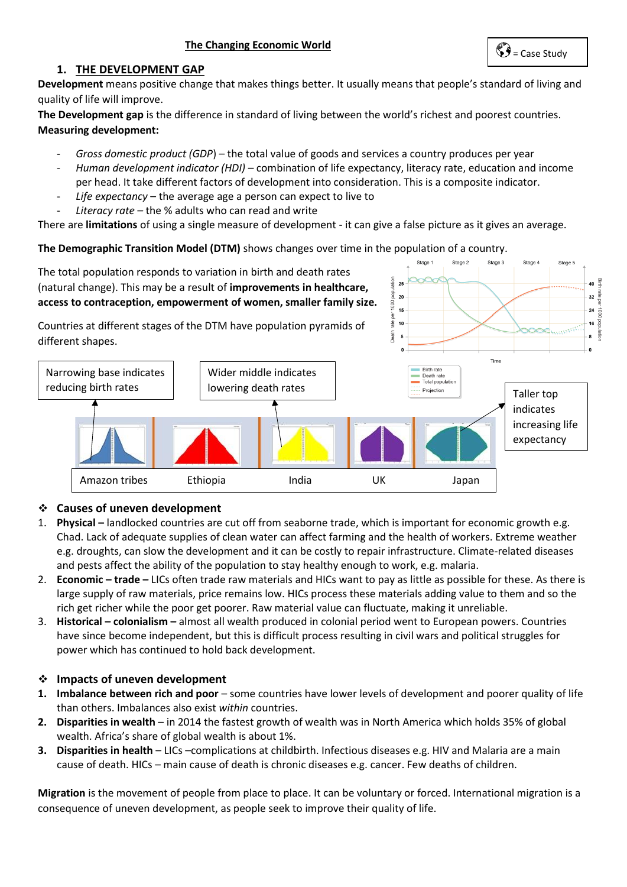#### **1. THE DEVELOPMENT GAP**

**Development** means positive change that makes things better. It usually means that people's standard of living and quality of life will improve.

**The Development gap** is the difference in standard of living between the world's richest and poorest countries. **Measuring development:** 

- *Gross domestic product (GDP*) the total value of goods and services a country produces per year
- *Human development indicator (HDI) –* combination of life expectancy, literacy rate, education and income per head. It take different factors of development into consideration. This is a composite indicator.
- Life expectancy the average age a person can expect to live to
- *Literacy rate –* the % adults who can read and write

There are **limitations** of using a single measure of development - it can give a false picture as it gives an average.

**The Demographic Transition Model (DTM)** shows changes over time in the population of a country.

Stage 1 Stage 2 Stage 3 Stage 4 Stage 5 The total population responds to variation in birth and death rates  $2!$ 40 (natural change). This may be a result of **improvements in healthcare,**  popul 20  $32$ **access to contraception, empowerment of women, smaller family size.**   $1000$  $15$  $24$ rate  $10$  $16$ Countries at different stages of the DTM have population pyramids of Death 5 8 different shapes. Time Birth rate Narrowing base indicates Wider middle indicates Death rate Iowering death rates and the state of the projection of the Projection of Taller top reducing birth rates indicates increasing life expectancy [Amazon tribes Ethiopia India UK Japan](http://www.google.co.uk/url?sa=i&rct=j&q=&esrc=s&source=images&cd=&cad=rja&uact=8&ved=0ahUKEwj2l63guNzZAhUDvBQKHXOYA5kQjRwIBg&url=http://www.coolgeography.co.uk/GCSE/AQA/Population/Demographic%20Transition/Demographic%20Transition%20Model.htm&psig=AOvVaw2neyu1Zx5nXoUoG6KGeBgj&ust=1520588455482919) 

#### ❖ **Causes of uneven development**  tribute de la provincia de la provincia de la provincia de la provincia de la provincia de la provincia de la<br>Lista de la provincia de la provincia de la provincia de la provincia de la provincia de la provincia de la pr

- 1. **Physical –** landlocked countries are cut off from seaborne trade, which is important for economic growth e.g. Chad. Lack of adequate supplies of clean water can affect farming and the health of workers. Extreme weather e.g. droughts, can slow the development and it can be costly to repair infrastructure. Climate-related diseases and pests affect the ability of the population to stay healthy enough to work, e.g. malaria.
- 2. **Economic – trade –** LICs often trade raw materials and HICs want to pay as little as possible for these. As there is large supply of raw materials, price remains low. HICs process these materials adding value to them and so the rich get richer while the poor get poorer. Raw material value can fluctuate, making it unreliable.
- 3. **Historical – colonialism –** almost all wealth produced in colonial period went to European powers. Countries have since become independent, but this is difficult process resulting in civil wars and political struggles for power which has continued to hold back development.

#### ❖ **Impacts of uneven development**

- **1. Imbalance between rich and poor**  some countries have lower levels of development and poorer quality of life than others. Imbalances also exist *within* countries.
- **2. Disparities in wealth**  in 2014 the fastest growth of wealth was in North America which holds 35% of global wealth. Africa's share of global wealth is about 1%.
- **3. Disparities in health**  LICs –complications at childbirth. Infectious diseases e.g. HIV and Malaria are a main cause of death. HICs – main cause of death is chronic diseases e.g. cancer. Few deaths of children.

**Migration** is the movement of people from place to place. It can be voluntary or forced. International migration is a consequence of uneven development, as people seek to improve their quality of life.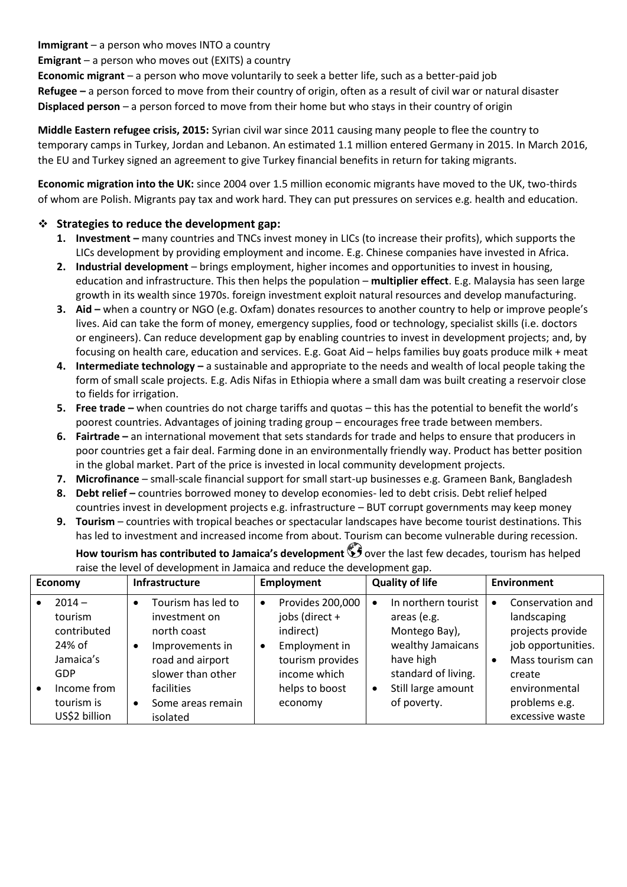**Immigrant** – a person who moves INTO a country

**Emigrant** – a person who moves out (EXITS) a country

**Economic migrant** – a person who move voluntarily to seek a better life, such as a better-paid job **Refugee –** a person forced to move from their country of origin, often as a result of civil war or natural disaster **Displaced person** – a person forced to move from their home but who stays in their country of origin

**Middle Eastern refugee crisis, 2015:** Syrian civil war since 2011 causing many people to flee the country to temporary camps in Turkey, Jordan and Lebanon. An estimated 1.1 million entered Germany in 2015. In March 2016, the EU and Turkey signed an agreement to give Turkey financial benefits in return for taking migrants.

**Economic migration into the UK:** since 2004 over 1.5 million economic migrants have moved to the UK, two-thirds of whom are Polish. Migrants pay tax and work hard. They can put pressures on services e.g. health and education.

#### ❖ **Strategies to reduce the development gap:**

- **1. Investment –** many countries and TNCs invest money in LICs (to increase their profits), which supports the LICs development by providing employment and income. E.g. Chinese companies have invested in Africa.
- **2. Industrial development**  brings employment, higher incomes and opportunities to invest in housing, education and infrastructure. This then helps the population – **multiplier effect**. E.g. Malaysia has seen large growth in its wealth since 1970s. foreign investment exploit natural resources and develop manufacturing.
- **3. Aid –** when a country or NGO (e.g. Oxfam) donates resources to another country to help or improve people's lives. Aid can take the form of money, emergency supplies, food or technology, specialist skills (i.e. doctors or engineers). Can reduce development gap by enabling countries to invest in development projects; and, by focusing on health care, education and services. E.g. Goat Aid – helps families buy goats produce milk + meat
- **4. Intermediate technology –** a sustainable and appropriate to the needs and wealth of local people taking the form of small scale projects. E.g. Adis Nifas in Ethiopia where a small dam was built creating a reservoir close to fields for irrigation.
- **5. Free trade –** when countries do not charge tariffs and quotas this has the potential to benefit the world's poorest countries. Advantages of joining trading group – encourages free trade between members.
- **6. Fairtrade –** an international movement that sets standards for trade and helps to ensure that producers in poor countries get a fair deal. Farming done in an environmentally friendly way. Product has better position in the global market. Part of the price is invested in local community development projects.
- **7. Microfinance**  small-scale financial support for small start-up businesses e.g. Grameen Bank, Bangladesh
- **8. Debt relief –** countries borrowed money to develop economies- led to debt crisis. Debt relief helped countries invest in development projects e.g. infrastructure – BUT corrupt governments may keep money
- **9. Tourism**  countries with tropical beaches or spectacular landscapes have become tourist destinations. This has led to investment and increased income from about. Tourism can become vulnerable during recession.

| <b>Economy</b>                                                                                                        | Infrastructure                                                                                                                                                                          | <b>Employment</b>                                                                                                                                           | <b>Quality of life</b>                                                                                                                                         | <b>Environment</b>                                                                                                                                                |
|-----------------------------------------------------------------------------------------------------------------------|-----------------------------------------------------------------------------------------------------------------------------------------------------------------------------------------|-------------------------------------------------------------------------------------------------------------------------------------------------------------|----------------------------------------------------------------------------------------------------------------------------------------------------------------|-------------------------------------------------------------------------------------------------------------------------------------------------------------------|
| $2014 -$<br>tourism<br>contributed<br>24% of<br>Jamaica's<br><b>GDP</b><br>Income from<br>tourism is<br>US\$2 billion | Tourism has led to<br>$\bullet$<br>investment on<br>north coast<br>Improvements in<br>road and airport<br>slower than other<br>facilities<br>Some areas remain<br>$\bullet$<br>isolated | Provides 200,000<br>$\bullet$<br>jobs (direct +<br>indirect)<br>Employment in<br>$\bullet$<br>tourism provides<br>income which<br>helps to boost<br>economy | In northern tourist<br>$\bullet$<br>areas (e.g.<br>Montego Bay),<br>wealthy Jamaicans<br>have high<br>standard of living.<br>Still large amount<br>of poverty. | Conservation and<br>٠<br>landscaping<br>projects provide<br>job opportunities.<br>Mass tourism can<br>create<br>environmental<br>problems e.g.<br>excessive waste |

**How tourism has contributed to Jamaica's development**  $\mathbf{O}$  over the last few decades, tourism has helped raise the level of development in Jamaica and reduce the development gap.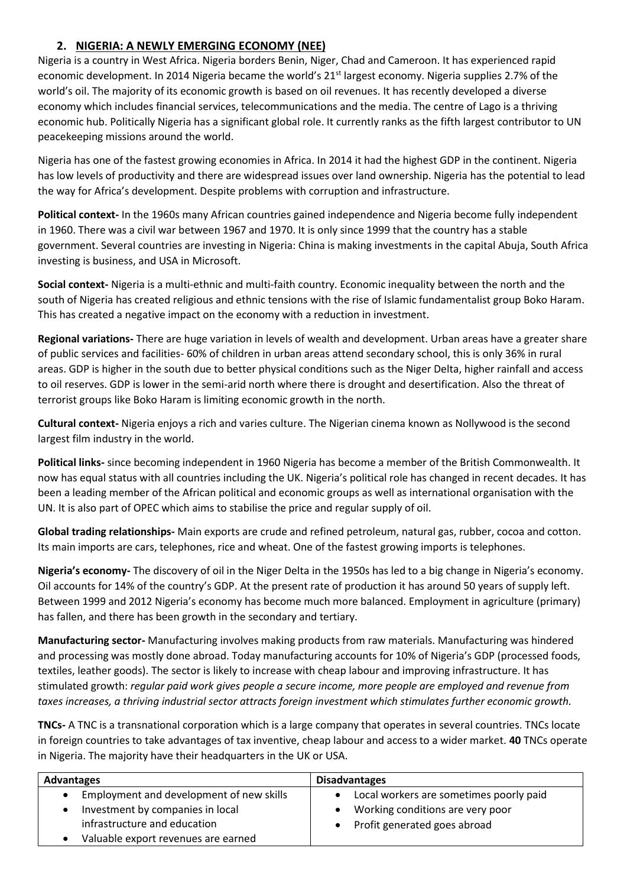## **2. NIGERIA: A NEWLY EMERGING ECONOMY (NEE)**

Nigeria is a country in West Africa. Nigeria borders Benin, Niger, Chad and Cameroon. It has experienced rapid economic development. In 2014 Nigeria became the world's 21<sup>st</sup> largest economy. Nigeria supplies 2.7% of the world's oil. The majority of its economic growth is based on oil revenues. It has recently developed a diverse economy which includes financial services, telecommunications and the media. The centre of Lago is a thriving economic hub. Politically Nigeria has a significant global role. It currently ranks as the fifth largest contributor to UN peacekeeping missions around the world.

Nigeria has one of the fastest growing economies in Africa. In 2014 it had the highest GDP in the continent. Nigeria has low levels of productivity and there are widespread issues over land ownership. Nigeria has the potential to lead the way for Africa's development. Despite problems with corruption and infrastructure.

**Political context-** In the 1960s many African countries gained independence and Nigeria become fully independent in 1960. There was a civil war between 1967 and 1970. It is only since 1999 that the country has a stable government. Several countries are investing in Nigeria: China is making investments in the capital Abuja, South Africa investing is business, and USA in Microsoft.

**Social context-** Nigeria is a multi-ethnic and multi-faith country. Economic inequality between the north and the south of Nigeria has created religious and ethnic tensions with the rise of Islamic fundamentalist group Boko Haram. This has created a negative impact on the economy with a reduction in investment.

**Regional variations-** There are huge variation in levels of wealth and development. Urban areas have a greater share of public services and facilities- 60% of children in urban areas attend secondary school, this is only 36% in rural areas. GDP is higher in the south due to better physical conditions such as the Niger Delta, higher rainfall and access to oil reserves. GDP is lower in the semi-arid north where there is drought and desertification. Also the threat of terrorist groups like Boko Haram is limiting economic growth in the north.

**Cultural context-** Nigeria enjoys a rich and varies culture. The Nigerian cinema known as Nollywood is the second largest film industry in the world.

**Political links-** since becoming independent in 1960 Nigeria has become a member of the British Commonwealth. It now has equal status with all countries including the UK. Nigeria's political role has changed in recent decades. It has been a leading member of the African political and economic groups as well as international organisation with the UN. It is also part of OPEC which aims to stabilise the price and regular supply of oil.

**Global trading relationships-** Main exports are crude and refined petroleum, natural gas, rubber, cocoa and cotton. Its main imports are cars, telephones, rice and wheat. One of the fastest growing imports is telephones.

**Nigeria's economy-** The discovery of oil in the Niger Delta in the 1950s has led to a big change in Nigeria's economy. Oil accounts for 14% of the country's GDP. At the present rate of production it has around 50 years of supply left. Between 1999 and 2012 Nigeria's economy has become much more balanced. Employment in agriculture (primary) has fallen, and there has been growth in the secondary and tertiary.

**Manufacturing sector-** Manufacturing involves making products from raw materials. Manufacturing was hindered and processing was mostly done abroad. Today manufacturing accounts for 10% of Nigeria's GDP (processed foods, textiles, leather goods). The sector is likely to increase with cheap labour and improving infrastructure. It has stimulated growth: *regular paid work gives people a secure income, more people are employed and revenue from taxes increases, a thriving industrial sector attracts foreign investment which stimulates further economic growth.* 

**TNCs-** A TNC is a transnational corporation which is a large company that operates in several countries. TNCs locate in foreign countries to take advantages of tax inventive, cheap labour and access to a wider market. **40** TNCs operate in Nigeria. The majority have their headquarters in the UK or USA.

| Advantages                               | <b>Disadvantages</b>                      |  |
|------------------------------------------|-------------------------------------------|--|
| Employment and development of new skills | Local workers are sometimes poorly paid   |  |
| Investment by companies in local         | Working conditions are very poor          |  |
| infrastructure and education             | Profit generated goes abroad<br>$\bullet$ |  |
| Valuable export revenues are earned      |                                           |  |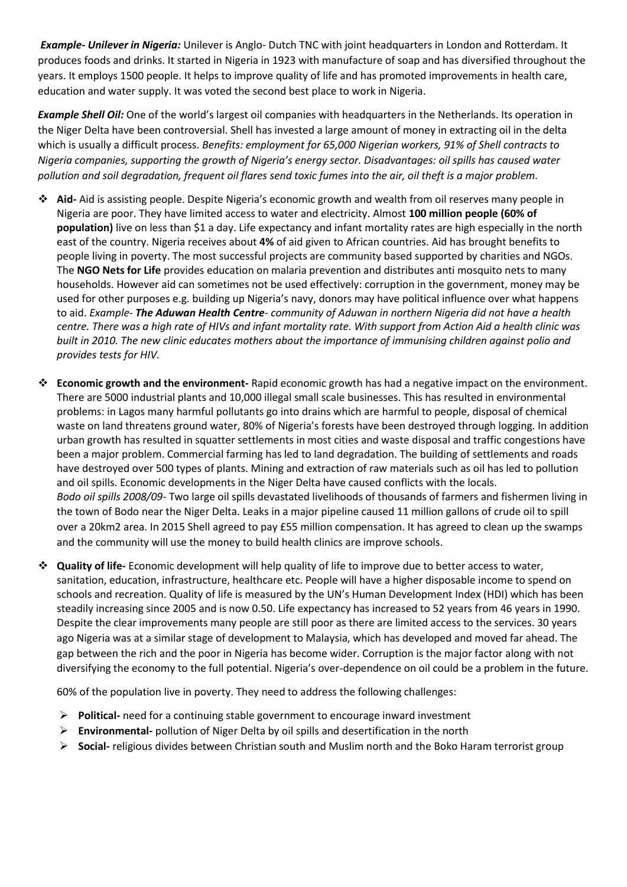*Example- Unilever in Nigeria:* Unilever is Anglo- Dutch TNC with joint headquarters in London and Rotterdam. It produces foods and drinks. It started in Nigeria in 1923 with manufacture of soap and has diversified throughout the years. It employs 1500 people. It helps to improve quality of life and has promoted improvements in health care, education and water supply. It was voted the second best place to work in Nigeria.

*Example Shell Oil:* One of the world's largest oil companies with headquarters in the Netherlands. Its operation in the Niger Delta have been controversial. Shell has invested a large amount of money in extracting oil in the delta which is usually a difficult process. *Benefits: employment for 65,000 Nigerian workers, 91% of Shell contracts to Nigeria companies, supporting the growth of Nigeria's energy sector. Disadvantages: oil spills has caused water pollution and soil degradation, frequent oil flares send toxic fumes into the air, oil theft is a major problem.* 

- ❖ **Aid-** Aid is assisting people. Despite Nigeria's economic growth and wealth from oil reserves many people in Nigeria are poor. They have limited access to water and electricity. Almost **100 million people (60% of population)** live on less than \$1 a day. Life expectancy and infant mortality rates are high especially in the north east of the country. Nigeria receives about **4%** of aid given to African countries. Aid has brought benefits to people living in poverty. The most successful projects are community based supported by charities and NGOs. The **NGO Nets for Life** provides education on malaria prevention and distributes anti mosquito nets to many households. However aid can sometimes not be used effectively: corruption in the government, money may be used for other purposes e.g. building up Nigeria's navy, donors may have political influence over what happens to aid. *Example- The Aduwan Health Centre- community of Aduwan in northern Nigeria did not have a health centre. There was a high rate of HIVs and infant mortality rate. With support from Action Aid a health clinic was built in 2010. The new clinic educates mothers about the importance of immunising children against polio and provides tests for HIV.*
- ❖ **Economic growth and the environment-** Rapid economic growth has had a negative impact on the environment. There are 5000 industrial plants and 10,000 illegal small scale businesses. This has resulted in environmental problems: in Lagos many harmful pollutants go into drains which are harmful to people, disposal of chemical waste on land threatens ground water, 80% of Nigeria's forests have been destroyed through logging. In addition urban growth has resulted in squatter settlements in most cities and waste disposal and traffic congestions have been a major problem. Commercial farming has led to land degradation. The building of settlements and roads have destroyed over 500 types of plants. Mining and extraction of raw materials such as oil has led to pollution and oil spills. Economic developments in the Niger Delta have caused conflicts with the locals. *Bodo oil spills 2008/09-* Two large oil spills devastated livelihoods of thousands of farmers and fishermen living in the town of Bodo near the Niger Delta. Leaks in a major pipeline caused 11 million gallons of crude oil to spill over a 20km2 area. In 2015 Shell agreed to pay £55 million compensation. It has agreed to clean up the swamps and the community will use the money to build health clinics are improve schools.
- ❖ **Quality of life-** Economic development will help quality of life to improve due to better access to water, sanitation, education, infrastructure, healthcare etc. People will have a higher disposable income to spend on schools and recreation. Quality of life is measured by the UN's Human Development Index (HDI) which has been steadily increasing since 2005 and is now 0.50. Life expectancy has increased to 52 years from 46 years in 1990. Despite the clear improvements many people are still poor as there are limited access to the services. 30 years ago Nigeria was at a similar stage of development to Malaysia, which has developed and moved far ahead. The gap between the rich and the poor in Nigeria has become wider. Corruption is the major factor along with not diversifying the economy to the full potential. Nigeria's over-dependence on oil could be a problem in the future.

60% of the population live in poverty. They need to address the following challenges:

- ➢ **Political-** need for a continuing stable government to encourage inward investment
- ➢ **Environmental-** pollution of Niger Delta by oil spills and desertification in the north
- ➢ **Social-** religious divides between Christian south and Muslim north and the Boko Haram terrorist group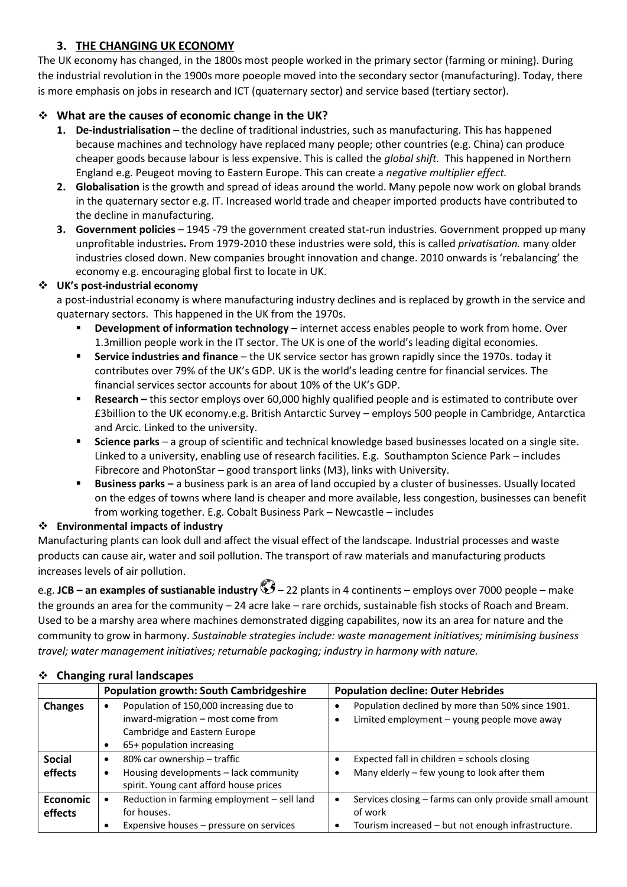## **3. THE CHANGING UK ECONOMY**

The UK economy has changed, in the 1800s most people worked in the primary sector (farming or mining). During the industrial revolution in the 1900s more poeople moved into the secondary sector (manufacturing). Today, there is more emphasis on jobs in research and ICT (quaternary sector) and service based (tertiary sector).

## ❖ **What are the causes of economic change in the UK?**

- **1. De-industrialisation** the decline of traditional industries, such as manufacturing. This has happened because machines and technology have replaced many people; other countries (e.g. China) can produce cheaper goods because labour is less expensive. This is called the *global shift.* This happened in Northern England e.g. Peugeot moving to Eastern Europe. This can create a *negative multiplier effect.*
- **2. Globalisation** is the growth and spread of ideas around the world. Many pepole now work on global brands in the quaternary sector e.g. IT. Increased world trade and cheaper imported products have contributed to the decline in manufacturing.
- **3. Government policies**  1945 -79 the government created stat-run industries. Government propped up many unprofitable industries**.** From 1979-2010 these industries were sold, this is called *privatisation.* many older industries closed down. New companies brought innovation and change. 2010 onwards is 'rebalancing' the economy e.g. encouraging global first to locate in UK.

## ❖ **UK's post-industrial economy**

a post-industrial economy is where manufacturing industry declines and is replaced by growth in the service and quaternary sectors. This happened in the UK from the 1970s.

- **Development of information technology** internet access enables people to work from home. Over 1.3million people work in the IT sector. The UK is one of the world's leading digital economies.
- **Service industries and finance** the UK service sector has grown rapidly since the 1970s. today it contributes over 79% of the UK's GDP. UK is the world's leading centre for financial services. The financial services sector accounts for about 10% of the UK's GDP.
- **Research –** this sector employs over 60,000 highly qualified people and is estimated to contribute over £3billion to the UK economy.e.g. British Antarctic Survey – employs 500 people in Cambridge, Antarctica and Arcic. Linked to the university.
- **Science parks**  a group of scientific and technical knowledge based businesses located on a single site. Linked to a university, enabling use of research facilities. E.g. Southampton Science Park – includes Fibrecore and PhotonStar – good transport links (M3), links with University.
- **Business parks –** a business park is an area of land occupied by a cluster of businesses. Usually located on the edges of towns where land is cheaper and more available, less congestion, businesses can benefit from working together. E.g. Cobalt Business Park – Newcastle – includes

## ❖ **Environmental impacts of industry**

Manufacturing plants can look dull and affect the visual effect of the landscape. Industrial processes and waste products can cause air, water and soil pollution. The transport of raw materials and manufacturing products increases levels of air pollution.

e.g. **JCB – an examples of sustianable industry** – 22 plants in 4 continents – employs over 7000 people – make the grounds an area for the community – 24 acre lake – rare orchids, sustainable fish stocks of Roach and Bream. Used to be a marshy area where machines demonstrated digging capabilites, now its an area for nature and the community to grow in harmony. *Sustainable strategies include: waste management initiatives; minimising business travel; water management initiatives; returnable packaging; industry in harmony with nature.* 

|                 | <b>Population growth: South Cambridgeshire</b> | <b>Population decline: Outer Hebrides</b>                |  |
|-----------------|------------------------------------------------|----------------------------------------------------------|--|
| <b>Changes</b>  | Population of 150,000 increasing due to        | Population declined by more than 50% since 1901.         |  |
|                 | inward-migration - most come from              | Limited employment - young people move away<br>٠         |  |
|                 | Cambridge and Eastern Europe                   |                                                          |  |
|                 | 65+ population increasing                      |                                                          |  |
| <b>Social</b>   | 80% car ownership - traffic<br>$\bullet$       | Expected fall in children = schools closing              |  |
| effects         | Housing developments - lack community<br>٠     | Many elderly - few young to look after them<br>$\bullet$ |  |
|                 | spirit. Young cant afford house prices         |                                                          |  |
| <b>Economic</b> | Reduction in farming employment - sell land    | Services closing - farms can only provide small amount   |  |
| effects         | for houses.                                    | of work                                                  |  |
|                 | Expensive houses – pressure on services        | Tourism increased - but not enough infrastructure.       |  |

#### ❖ **Changing rural landscapes**